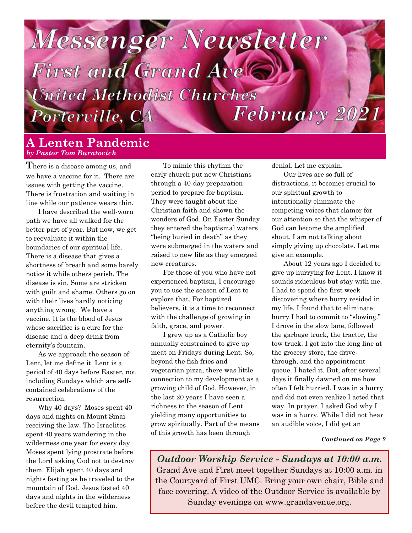# **Messenger Newsletter**

**First and Grand Avelts United Methodist Churches** February 2021 Porterville, CA

## **A Lenten Pandemic** *by Pastor Tom Buratovich*

**T**here is a disease among us, and we have a vaccine for it. There are issues with getting the vaccine. There is frustration and waiting in line while our patience wears thin.

I have described the well-worn path we have all walked for the better part of year. But now, we get to reevaluate it within the boundaries of our spiritual life. There is a disease that gives a shortness of breath and some barely notice it while others perish. The disease is sin. Some are stricken with guilt and shame. Others go on with their lives hardly noticing anything wrong. We have a vaccine. It is the blood of Jesus whose sacrifice is a cure for the disease and a deep drink from eternity's fountain.

As we approach the season of Lent, let me define it. Lent is a period of 40 days before Easter, not including Sundays which are selfcontained celebrations of the resurrection.

Why 40 days? Moses spent 40 days and nights on Mount Sinai receiving the law. The Israelites spent 40 years wandering in the wilderness one year for every day Moses spent lying prostrate before the Lord asking God not to destroy them. Elijah spent 40 days and nights fasting as he traveled to the mountain of God. Jesus fasted 40 days and nights in the wilderness before the devil tempted him.

To mimic this rhythm the early church put new Christians through a 40-day preparation period to prepare for baptism. They were taught about the Christian faith and shown the wonders of God. On Easter Sunday they entered the baptismal waters "being buried in death" as they were submerged in the waters and raised to new life as they emerged new creatures.

For those of you who have not experienced baptism, I encourage you to use the season of Lent to explore that. For baptized believers, it is a time to reconnect with the challenge of growing in faith, grace, and power.

I grew up as a Catholic boy annually constrained to give up meat on Fridays during Lent. So, beyond the fish fries and vegetarian pizza, there was little connection to my development as a growing child of God. However, in the last 20 years I have seen a richness to the season of Lent yielding many opportunities to grow spiritually. Part of the means of this growth has been through

denial. Let me explain.

Our lives are so full of distractions, it becomes crucial to our spiritual growth to intentionally eliminate the competing voices that clamor for our attention so that the whisper of God can become the amplified shout. I am not talking about simply giving up chocolate. Let me give an example.

About 12 years ago I decided to give up hurrying for Lent. I know it sounds ridiculous but stay with me. I had to spend the first week discovering where hurry resided in my life. I found that to eliminate hurry I had to commit to "slowing." I drove in the slow lane, followed the garbage truck, the tractor, the tow truck. I got into the long line at the grocery store, the drivethrough, and the appointment queue. I hated it. But, after several days it finally dawned on me how often I felt hurried. I was in a hurry and did not even realize I acted that way. In prayer, I asked God why I was in a hurry. While I did not hear an audible voice, I did get an

#### *Continued on Page 2*

*Outdoor Worship Service - Sundays at 10:00 a.m.* Grand Ave and First meet together Sundays at 10:00 a.m. in the Courtyard of First UMC. Bring your own chair, Bible and face covering. A video of the Outdoor Service is available by Sunday evenings on www.grandavenue.org.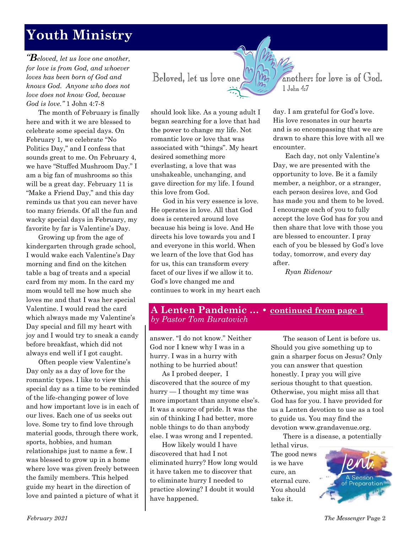# **Youth Ministry**

*"Beloved, let us love one another, for love is from God, and whoever loves has been born of God and knows God. Anyone who does not love does not know God, because God is love."* 1 John 4:7-8

The month of February is finally here and with it we are blessed to celebrate some special days. On February 1, we celebrate "No Politics Day," and I confess that sounds great to me. On February 4, we have "Stuffed Mushroom Day." I am a big fan of mushrooms so this will be a great day. February 11 is "Make a Friend Day," and this day reminds us that you can never have too many friends. Of all the fun and wacky special days in February, my favorite by far is Valentine's Day.

Growing up from the age of kindergarten through grade school, I would wake each Valentine's Day morning and find on the kitchen table a bag of treats and a special card from my mom. In the card my mom would tell me how much she loves me and that I was her special Valentine. I would read the card which always made my Valentine's Day special and fill my heart with joy and I would try to sneak a candy before breakfast, which did not always end well if I got caught.

Often people view Valentine's Day only as a day of love for the romantic types. I like to view this special day as a time to be reminded of the life-changing power of love and how important love is in each of our lives. Each one of us seeks out love. Some try to find love through material goods, through there work, sports, hobbies, and human relationships just to name a few. I was blessed to grow up in a home where love was given freely between the family members. This helped guide my heart in the direction of love and painted a picture of what it

Beloved, let us love one

another: for love is of God. 1 John 4:7

should look like. As a young adult I began searching for a love that had the power to change my life. Not romantic love or love that was associated with "things". My heart desired something more everlasting, a love that was unshakeable, unchanging, and gave direction for my life. I found this love from God.

God in his very essence is love. He operates in love. All that God does is centered around love because his being is love. And He directs his love towards you and I and everyone in this world. When we learn of the love that God has for us, this can transform every facet of our lives if we allow it to. God's love changed me and continues to work in my heart each day. I am grateful for God's love. His love resonates in our hearts and is so encompassing that we are drawn to share this love with all we encounter.

Each day, not only Valentine's Day, we are presented with the opportunity to love. Be it a family member, a neighbor, or a stranger, each person desires love, and God has made you and them to be loved. I encourage each of you to fully accept the love God has for you and then share that love with those you are blessed to encounter. I pray each of you be blessed by God's love today, tomorrow, and every day after.

*Ryan Ridenour*

## **A Lenten Pandemic … • continued from page 1** *by Pastor Tom Buratovich*

answer. "I do not know." Neither God nor I knew why I was in a hurry. I was in a hurry with nothing to be hurried about!

As I probed deeper, I discovered that the source of my hurry — I thought my time was more important than anyone else's. It was a source of pride. It was the sin of thinking I had better, more noble things to do than anybody else. I was wrong and I repented.

How likely would I have discovered that had I not eliminated hurry? How long would it have taken me to discover that to eliminate hurry I needed to practice slowing? I doubt it would have happened.

The season of Lent is before us. Should you give something up to gain a sharper focus on Jesus? Only you can answer that question honestly. I pray you will give serious thought to that question. Otherwise, you might miss all that God has for you. I have provided for us a Lenten devotion to use as a tool to guide us. You may find the devotion www.grandavenue.org.

There is a disease, a potentially

lethal virus. The good news is we have cure, an eternal cure. You should take it.

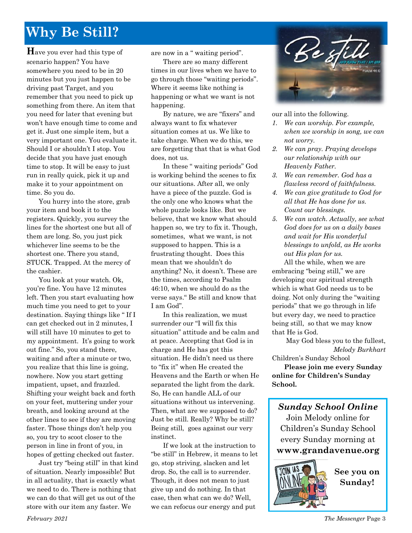# **Why Be Still?**

**H**ave you ever had this type of scenario happen? You have somewhere you need to be in 20 minutes but you just happen to be driving past Target, and you remember that you need to pick up something from there. An item that you need for later that evening but won't have enough time to come and get it. Just one simple item, but a very important one. You evaluate it. Should I or shouldn't I stop. You decide that you have just enough time to stop. It will be easy to just run in really quick, pick it up and make it to your appointment on time. So you do.

You hurry into the store, grab your item and book it to the registers. Quickly, you survey the lines for the shortest one but all of them are long. So, you just pick whichever line seems to be the shortest one. There you stand, STUCK. Trapped. At the mercy of the cashier.

You look at your watch. Ok, you're fine. You have 12 minutes left. Then you start evaluating how much time you need to get to your destination. Saying things like " If I can get checked out in 2 minutes, I will still have 10 minutes to get to my appointment. It's going to work out fine." So, you stand there, waiting and after a minute or two, you realize that this line is going, nowhere. Now you start getting impatient, upset, and frazzled. Shifting your weight back and forth on your feet, muttering under your breath, and looking around at the other lines to see if they are moving faster. Those things don't help you so, you try to scoot closer to the person in line in front of you, in hopes of getting checked out faster.

Just try "being still" in that kind of situation. Nearly impossible! But in all actuality, that is exactly what we need to do. There is nothing that we can do that will get us out of the store with our item any faster. We

are now in a " waiting period".

There are so many different times in our lives when we have to go through those "waiting periods". Where it seems like nothing is happening or what we want is not happening.

By nature, we are "fixers" and always want to fix whatever situation comes at us. We like to take charge. When we do this, we are forgetting that that is what God does, not us.

In these " waiting periods" God is working behind the scenes to fix our situations. After all, we only have a piece of the puzzle. God is the only one who knows what the whole puzzle looks like. But we believe, that we know what should happen so, we try to fix it. Though, sometimes, what we want, is not supposed to happen. This is a frustrating thought. Does this mean that we shouldn't do anything? No, it doesn't. These are the times, according to Psalm 46:10, when we should do as the verse says." Be still and know that I am God".

In this realization, we must surrender our "I will fix this situation" attitude and be calm and at peace. Accepting that God is in charge and He has got this situation. He didn't need us there to "fix it" when He created the Heavens and the Earth or when He separated the light from the dark. So, He can handle ALL of our situations without us intervening. Then, what are we supposed to do? Just be still. Really? Why be still? Being still, goes against our very instinct.

If we look at the instruction to "be still" in Hebrew, it means to let go, stop striving, slacken and let drop. So, the call is to surrender. Though, it does not mean to just give up and do nothing. In that case, then what can we do? Well, we can refocus our energy and put



our all into the following.

- *1. We can worship. For example, when we worship in song, we can not worry.*
- *2. We can pray. Praying develops our relationship with our Heavenly Father.*
- *3. We can remember. God has a flawless record of faithfulness.*
- *4. We can give gratitude to God for all that He has done for us. Count our blessings.*
- *5. We can watch. Actually, see what God does for us on a daily bases and wait for His wonderful blessings to unfold, as He works out His plan for us.*

All the while, when we are embracing "being still," we are developing our spiritual strength which is what God needs us to be doing. Not only during the "waiting periods" that we go through in life but every day, we need to practice being still, so that we may know that He is God.

May God bless you to the fullest, *Melody Burkhart*

Children's Sunday School

**Please join me every Sunday online for Children's Sunday School.**

*Sunday School Online* Join Melody online for Children's Sunday School every Sunday morning at **www[.grandavenue.org](http://grandavenue.org/)**



**See you on Sunday!**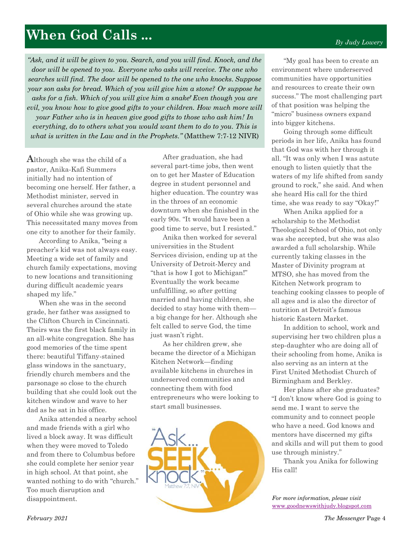# **When God Calls ...**

*"Ask, and it will be given to you. Search, and you will find. Knock, and the door will be opened to you. Everyone who asks will receive. The one who searches will find. The door will be opened to the one who knocks. Suppose your son asks for bread. Which of you will give him a stone? Or suppose he asks for a fish. Which of you will give him a snake? Even though you are evil, you know how to give good gifts to your children. How much more will your Father who is in heaven give good gifts to those who ask him! In everything, do to others what you would want them to do to you. This is what is written in the Law and in the Prophets."* (Matthew 7:7-12 NIVR)

**A**lthough she was the child of a pastor, Anika-Kafi Summers initially had no intention of becoming one herself. Her father, a Methodist minister, served in several churches around the state of Ohio while she was growing up. This necessitated many moves from one city to another for their family.

According to Anika, "being a preacher's kid was not always easy. Meeting a wide set of family and church family expectations, moving to new locations and transitioning during difficult academic years shaped my life."

When she was in the second grade, her father was assigned to the Clifton Church in Cincinnati. Theirs was the first black family in an all-white congregation. She has good memories of the time spent there: beautiful Tiffany-stained glass windows in the sanctuary, friendly church members and the parsonage so close to the church building that she could look out the kitchen window and wave to her dad as he sat in his office.

Anika attended a nearby school and made friends with a girl who lived a block away. It was difficult when they were moved to Toledo and from there to Columbus before she could complete her senior year in high school. At that point, she wanted nothing to do with "church." Too much disruption and disappointment.

After graduation, she had several part-time jobs, then went on to get her Master of Education degree in student personnel and higher education. The country was in the throes of an economic downturn when she finished in the early 90s. "It would have been a good time to serve, but I resisted."

Anika then worked for several universities in the Student Services division, ending up at the University of Detroit-Mercy and "that is how I got to Michigan!" Eventually the work became unfulfilling, so after getting married and having children, she decided to stay home with them a big change for her. Although she felt called to serve God, the time just wasn't right.

As her children grew, she became the director of a Michigan Kitchen Network—finding available kitchens in churches in underserved communities and connecting them with food entrepreneurs who were looking to start small businesses.



"My goal has been to create an environment where underserved communities have opportunities and resources to create their own success." The most challenging part of that position was helping the "micro" business owners expand into bigger kitchens.

Going through some difficult periods in her life, Anika has found that God was with her through it all. "It was only when I was astute enough to listen quietly that the waters of my life shifted from sandy ground to rock," she said. And when she heard His call for the third time, she was ready to say "Okay!"

When Anika applied for a scholarship to the Methodist Theological School of Ohio, not only was she accepted, but she was also awarded a full scholarship. While currently taking classes in the Master of Divinity program at MTSO, she has moved from the Kitchen Network program to teaching cooking classes to people of all ages and is also the director of nutrition at Detroit's famous historic Eastern Market.

In addition to school, work and supervising her two children plus a step-daughter who are doing all of their schooling from home, Anika is also serving as an intern at the First United Methodist Church of Birmingham and Berkley.

Her plans after she graduates? "I don't know where God is going to send me. I want to serve the community and to connect people who have a need. God knows and mentors have discerned my gifts and skills and will put them to good use through ministry."

Thank you Anika for following His call!

*For more information, please visit*  [www.goodnewswithjudy.blogspot.com](http://www.goodnewswithjudy.blogspot.com/)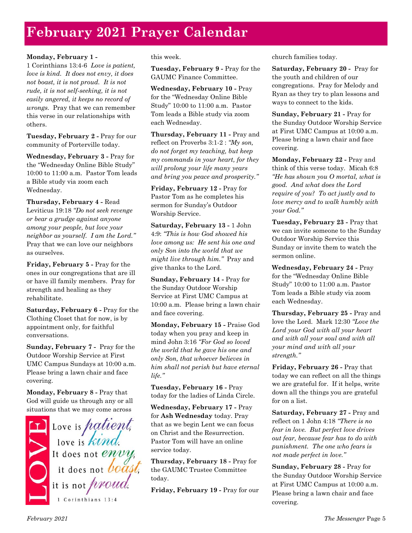# **February 2021 Prayer Calendar**

#### **Monday, February 1 -**

1 Corinthians 13:4-6 *Love is patient, love is kind. It does not envy, it does not boast, it is not proud. It is not rude, it is not self-seeking, it is not easily angered, it keeps no record of wrongs.* Pray that we can remember this verse in our relationships with others.

**Tuesday, February 2 -** Pray for our community of Porterville today.

**Wednesday, February 3 -** Pray for the "Wednesday Online Bible Study" 10:00 to 11:00 a.m. Pastor Tom leads a Bible study via zoom each Wednesday.

**Thursday, February 4 -** Read Leviticus 19:18 *"Do not seek revenge or bear a grudge against anyone among your people, but love your neighbor as yourself. I am the Lord."*  Pray that we can love our neighbors as ourselves.

**Friday, February 5 -** Pray for the ones in our congregations that are ill or have ill family members. Pray for strength and healing as they rehabilitate.

**Saturday, February 6 -** Pray for the Clothing Closet that for now, is by appointment only, for faithful conversations.

**Sunday, February 7 -** Pray for the Outdoor Worship Service at First UMC Campus Sundays at 10:00 a.m. Please bring a lawn chair and face covering.

**Monday, February 8 -** Pray that God will guide us through any or all

situations that we may come across<br>
Love is *hatient*,<br>
love is *kind*.<br>
It does not *envy*,<br>
it does not *boast*,  $\int$  it is not *proud.* 1 Corinthians 13:4

this week.

**Tuesday, February 9 -** Pray for the GAUMC Finance Committee.

**Wednesday, February 10 -** Pray for the "Wednesday Online Bible Study" 10:00 to 11:00 a.m. Pastor Tom leads a Bible study via zoom each Wednesday.

**Thursday, February 11 -** Pray and reflect on Proverbs 3:1-2 : *"My son, do not forget my teaching, but keep my commands in your heart, for they will prolong your life many years and bring you peace and prosperity."*

**Friday, February 12 -** Pray for Pastor Tom as he completes his sermon for Sunday's Outdoor Worship Service.

**Saturday, February 13 -** 1 John 4:9: *"This is how God showed his love among us: He sent his one and only Son into the world that we might live through him."* Pray and give thanks to the Lord.

**Sunday, February 14 -** Pray for the Sunday Outdoor Worship Service at First UMC Campus at 10:00 a.m. Please bring a lawn chair and face covering.

**Monday, February 15 -** Praise God today when you pray and keep in mind John 3:16 *"For God so loved the world that he gave his one and only Son, that whoever believes in him shall not perish but have eternal life."*

**Tuesday, February 16 -** Pray today for the ladies of Linda Circle.

**Wednesday, February 17 -** Pray for **Ash Wednesday** today. Pray that as we begin Lent we can focus on Christ and the Resurrection. Pastor Tom will have an online service today.

**Thursday, February 18 -** Pray for the GAUMC Trustee Committee today.

**Friday, February 19 -** Pray for our

church families today.

**Saturday, February 20 -** Pray for the youth and children of our congregations. Pray for Melody and Ryan as they try to plan lessons and ways to connect to the kids.

**Sunday, February 21 -** Pray for the Sunday Outdoor Worship Service at First UMC Campus at 10:00 a.m. Please bring a lawn chair and face covering.

**Monday, February 22 -** Pray and think of this verse today. Micah 6:8 *"He has shown you O mortal, what is good. And what does the Lord require of you? To act justly and to love mercy and to walk humbly with your God."*

**Tuesday, February 23 -** Pray that we can invite someone to the Sunday Outdoor Worship Service this Sunday or invite them to watch the sermon online.

**Wednesday, February 24 -** Pray for the "Wednesday Online Bible Study" 10:00 to 11:00 a.m. Pastor Tom leads a Bible study via zoom each Wednesday.

**Thursday, February 25 -** Pray and love the Lord. Mark 12:30 *"Love the Lord your God with all your heart and with all your soul and with all your mind and with all your strength."*

**Friday, February 26 -** Pray that today we can reflect on all the things we are grateful for. If it helps, write down all the things you are grateful for on a list.

**Saturday, February 27 -** Pray and reflect on 1 John 4:18 *"There is no fear in love. But perfect love drives out fear, because fear has to do with punishment. The one who fears is not made perfect in love."*

**Sunday, February 28 -** Pray for the Sunday Outdoor Worship Service at First UMC Campus at 10:00 a.m. Please bring a lawn chair and face covering.